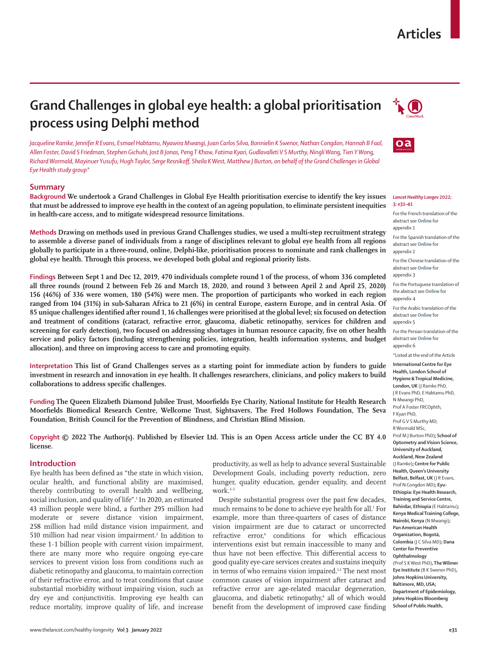# **Articles**

# **Grand Challenges in global eye health: a global prioritisation process using Delphi method**

*Jacqueline Ramke, Jennifer R Evans, Esmael Habtamu, Nyawira Mwangi, Juan Carlos Silva, Bonnielin K Swenor, Nathan Congdon, Hannah B Faal, Allen Foster, David S Friedman, Stephen Gichuhi, Jost B Jonas, Peng T Khaw, Fatima Kyari, Gudlavalleti V S Murthy, Ningli Wang, Tien Y Wong, Richard Wormald, Mayinuer Yusufu, Hugh Taylor, Serge Resnikoff, Sheila K West, Matthew J Burton, on behalf of the Grand Challenges in Global Eye Health study group\**

# **Summary**

**Background We undertook a Grand Challenges in Global Eye Health prioritisation exercise to identify the key issues that must be addressed to improve eye health in the context of an ageing population, to eliminate persistent inequities in health-care access, and to mitigate widespread resource limitations.** 

**Methods Drawing on methods used in previous Grand Challenges studies, we used a multi-step recruitment strategy to assemble a diverse panel of individuals from a range of disciplines relevant to global eye health from all regions globally to participate in a three-round, online, Delphi-like, prioritisation process to nominate and rank challenges in global eye health. Through this process, we developed both global and regional priority lists.**

**Findings Between Sept 1 and Dec 12, 2019, 470 individuals complete round 1 of the process, of whom 336 completed all three rounds (round 2 between Feb 26 and March 18, 2020, and round 3 between April 2 and April 25, 2020) 156 (46%) of 336 were women, 180 (54%) were men. The proportion of participants who worked in each region ranged from 104 (31%) in sub-Saharan Africa to 21 (6%) in central Europe, eastern Europe, and in central Asia. Of 85 unique challenges identified after round 1, 16 challenges were prioritised at the global level; six focused on detection and treatment of conditions (cataract, refractive error, glaucoma, diabetic retinopathy, services for children and screening for early detection), two focused on addressing shortages in human resource capacity, five on other health service and policy factors (including strengthening policies, integration, health information systems, and budget allocation), and three on improving access to care and promoting equity.**

**Interpretation This list of Grand Challenges serves as a starting point for immediate action by funders to guide investment in research and innovation in eye health. It challenges researchers, clinicians, and policy makers to build collaborations to address specific challenges.**

**Funding The Queen Elizabeth Diamond Jubilee Trust, Moorfields Eye Charity, National Institute for Health Research Moorfields Biomedical Research Centre, Wellcome Trust, Sightsavers, The Fred Hollows Foundation, The Seva Foundation, British Council for the Prevention of Blindness, and Christian Blind Mission.**

**Copyright © 2022 The Author(s). Published by Elsevier Ltd. This is an Open Access article under the CC BY 4.0 license.**

## **Introduction**

Eye health has been defined as "the state in which vision, ocular health, and functional ability are maximised, thereby contributing to overall health and wellbeing, social inclusion, and quality of life".1 In 2020, an estimated 43 million people were blind, a further 295 million had moderate or severe distance vision impairment, 258 million had mild distance vision impairment, and 510 million had near vision impairment.<sup>2</sup> In addition to these 1·1 billion people with current vision impairment, there are many more who require ongoing eye-care services to prevent vision loss from conditions such as diabetic retinopathy and glaucoma, to maintain correction of their refractive error, and to treat conditions that cause substantial morbidity without impairing vision, such as dry eye and conjunctivitis. Improving eye health can reduce mortality, improve quality of life, and increase

productivity, as well as help to advance several Sustainable Development Goals, including poverty reduction, zero hunger, quality education, gender equality, and decent work.<sup>3-5</sup>

Despite substantial progress over the past few decades, much remains to be done to achieve eye health for all.<sup>1</sup> For example, more than three-quarters of cases of distance vision impairment are due to cataract or uncorrected refractive error,<sup>6</sup> conditions for which efficacious interventions exist but remain inaccessible to many and thus have not been effective. This differential access to good quality eye-care services creates and sustains inequity in terms of who remains vision impaired.<sup>1,2</sup> The next most common causes of vision impairment after cataract and refractive error are age-related macular degeneration, glaucoma, and diabetic retinopathy,<sup>6</sup> all of which would benefit from the development of improved case finding





#### *Lancet Healthy Longev* **2022; 3: e31–41**

For the French translation of the abstract see **Online** for appendix 1

For the Spanish translation of the abstract see **Online** for appendix 2

For the Chinese translation of the abstract see **Online** for appendix 3

For the Portuguese translation of the abstract see **Online** for appendix 4

For the Arabic translation of the abstract see **Online** for appendix 5

For the Persian translation of the abstract see **Online** for appendix 6

\*Listed at the end of the Article

**International Centre for Eye Health, London School of Hygiene & Tropical Medicine, London, UK** (J Ramke PhD, J R Evans PhD, E Habtamu PhD, N Mwangi PhD, Prof A Foster FRCOphth, F Kyari PhD, Prof G V S Murthy MD, R Wormald MSc, Prof M J Burton PhD)**; School of Optometry and Vision Science, University of Auckland, Auckland, New Zealand**  (J Ramke)**; Centre for Public Health, Queen's University Belfast, Belfast, UK** (J R Evans, Prof N Congdon MD)**; Eyu-Ethiopia: Eye Health Research, Training and Service Centre, Bahirdar, Ethiopia** (E Habtamu)**; Kenya Medical Training College, Nairobi, Kenya** (N Mwangi)**; Pan American Health Organization, Bogotá, Colombia** (J C Silva MD)**; Dana Center for Preventive Ophthalmology**  (Prof S K West PhD)**, The Wilmer Eye Institute** (B K Swenor PhD)**, Johns Hopkins University, Baltimore, MD, USA; Department of Epidemiology, Johns Hopkins Bloomberg** 

**School of Public Health,**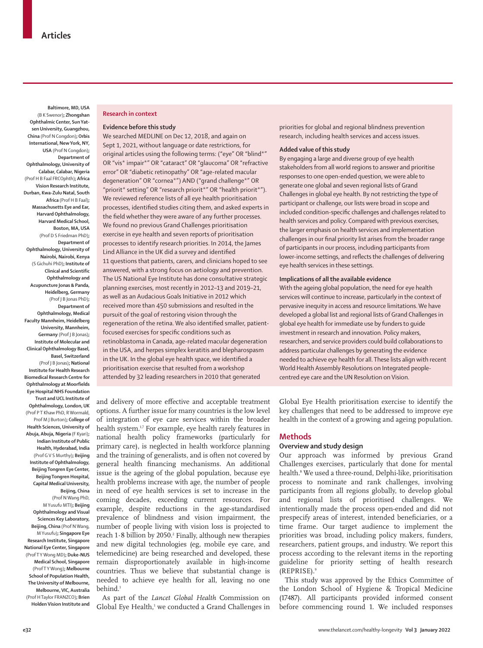**Baltimore, MD, USA**  (B K Swenor)**; Zhongshan Ophthalmic Center, Sun Yatsen University, Guangzhou, China** (Prof N Congdon)**; Orbis International, New York, NY, USA** (Prof N Congdon)**; Department of Ophthalmology, University of Calabar, Calabar, Nigeria**  (Prof H B Faal FRCOphth)**; Africa Vision Research Institute, Durban, Kwa-Zulu Natal, South Africa** (Prof H B Faal)**; Massachusetts Eye and Ear, Harvard Ophthalmology, Harvard Medical School, Boston, MA, USA**  (Prof D S Friedman PhD)**; Department of Ophthalmology, University of Nairobi, Nairobi, Kenya**  (S Gichuhi PhD)**; Institute of Clinical and Scientific Ophthalmology and Acupuncture Jonas & Panda, Heidelberg, Germany**  (Prof J B Jonas PhD)**; Department of Ophthalmology, Medical Faculty Mannheim, Heidelberg University, Mannheim, Germany** (Prof J B Jonas)**; Institute of Molecular and Clinical Ophthalmology Basel, Basel, Switzerland**  (Prof J B Jonas)**; National Institute for Health Research Biomedical Research Centre for Ophthalmology at Moorfields Eye Hospital NHS Foundation Trust and UCL Institute of Ophthalmology, London, UK**  (Prof PT Khaw PhD, R Wormald, Prof M J Burton)**; College of Health Sciences, University of Abuja, Abuja, Nigeria** (F Kyari)**; Indian Institute of Public Health, Hyderabad, India**  (Prof G V S Murthy)**; Beijing Institute of Ophthalmology, Beijing Tongren Eye Center, Beijing Tongren Hospital, Capital Medical University, Beijing, China** 

(Prof N Wang PhD, M Yusufu MTI)**; Beijing Ophthalmology and Visual Sciences Key Laboratory, Beijing, China** (Prof N Wang, M Yusufu)**; Singapore Eye Research Institute, Singapore National Eye Center, Singapore**  (Prof T Y Wong MD)**; Duke-NUS Medical School, Singapore**  (Prof T Y Wong)**; Melbourne School of Population Health, The University of Melbourne, Melbourne, VIC, Australia**  (Prof H Taylor FRANZCO)**; Brien Holden Vision Institute and**

## **Research in context**

# **Evidence before this study**

We searched MEDLINE on Dec 12, 2018, and again on Sept 1, 2021, without language or date restrictions, for original articles using the following terms: ("eye" OR "blind\*" OR "vis\* impair\*" OR "cataract" OR "glaucoma" OR "refractive error" OR "diabetic retinopathy" OR "age-related macular degeneration" OR "cornea\*") AND ("grand challenge\*" OR "priorit\* setting" OR "research priorit\*" OR "health priorit\*"). We reviewed reference lists of all eye health prioritisation processes, identified studies citing them, and asked experts in the field whether they were aware of any further processes. We found no previous Grand Challenges prioritisation exercise in eye health and seven reports of prioritisation processes to identify research priorities. In 2014, the James Lind Alliance in the UK did a survey and identified 11 questions that patients, carers, and clinicians hoped to see answered, with a strong focus on aetiology and prevention. The US National Eye Institute has done consultative strategic planning exercises, most recently in 2012–13 and 2019–21, as well as an Audacious Goals Initiative in 2012 which received more than 450 submissions and resulted in the pursuit of the goal of restoring vision through the regeneration of the retina. We also identified smaller, patientfocused exercises for specific conditions such as retinoblastoma in Canada, age-related macular degeneration in the USA, and herpes simplex keratitis and blepharospasm in the UK. In the global eye health space, we identified a prioritisation exercise that resulted from a workshop attended by 32 leading researchers in 2010 that generated

and delivery of more effective and acceptable treatment options. A further issue for many countries is the low level of integration of eye care services within the broader health system.<sup>17</sup> For example, eye health rarely features in national health policy frameworks (particularly for primary care), is neglected in health workforce planning and the training of generalists, and is often not covered by general health financing mechanisms. An additional issue is the ageing of the global population, because eye health problems increase with age, the number of people in need of eye health services is set to increase in the coming decades, exceeding current resources. For example, despite reductions in the age-standardised prevalence of blindness and vision impairment, the number of people living with vision loss is projected to reach  $1.8$  billion by 2050. $^2$  Finally, although new therapies and new digital technologies (eg, mobile eye care, and telemedicine) are being researched and developed, these remain disproportionately available in high-income countries. Thus we believe that substantial change is needed to achieve eye health for all, leaving no one behind.<sup>1</sup>

As part of the *Lancet Global Health* Commission on Global Eye Health,<sup>1</sup> we conducted a Grand Challenges in

priorities for global and regional blindness prevention research, including health services and access issues.

# **Added value of this study**

By engaging a large and diverse group of eye health stakeholders from all world regions to answer and prioritise responses to one open-ended question, we were able to generate one global and seven regional lists of Grand Challenges in global eye health. By not restricting the type of participant or challenge, our lists were broad in scope and included condition-specific challenges and challenges related to health services and policy. Compared with previous exercises, the larger emphasis on health services and implementation challenges in our final priority list arises from the broader range of participants in our process, including participants from lower-income settings, and reflects the challenges of delivering eye health services in these settings.

## **Implications of all the available evidence**

With the ageing global population, the need for eye health services will continue to increase, particularly in the context of pervasive inequity in access and resource limitations. We have developed a global list and regional lists of Grand Challenges in global eye health for immediate use by funders to guide investment in research and innovation. Policy makers, researchers, and service providers could build collaborations to address particular challenges by generating the evidence needed to achieve eye health for all. These lists align with recent World Health Assembly Resolutions on Integrated peoplecentred eye care and the UN Resolution on Vision.

Global Eye Health prioritisation exercise to identify the key challenges that need to be addressed to improve eye health in the context of a growing and ageing population.

## **Methods**

#### **Overview and study design**

Our approach was informed by previous Grand Challenges exercises, particularly that done for mental health.8 We used a three-round, Delphi-like, prioritisation process to nominate and rank challenges, involving participants from all regions globally, to develop global and regional lists of prioritised challenges. We intentionally made the process open-ended and did not prespecify areas of interest, intended beneficiaries, or a time frame. Our target audience to implement the priorities was broad, including policy makers, funders, researchers, patient groups, and industry. We report this process according to the relevant items in the reporting guideline for priority setting of health research (REPRISE).9

This study was approved by the Ethics Committee of the London School of Hygiene & Tropical Medicine (17487). All participants provided informed consent before commencing round 1. We included responses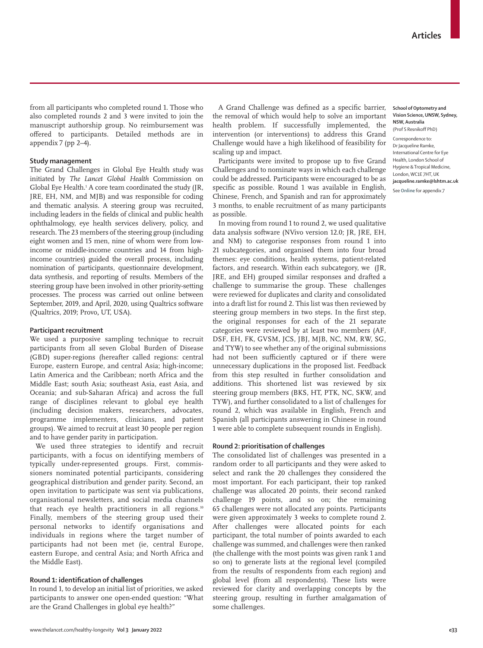from all participants who completed round 1. Those who also completed rounds 2 and 3 were invited to join the manuscript authorship group. No reimbursement was offered to participants. Detailed methods are in appendix 7 (pp 2–4).

# **Study management**

The Grand Challenges in Global Eye Health study was initiated by *The Lancet Global Health* Commission on Global Eye Health.1 A core team coordinated the study (JR, JRE, EH, NM, and MJB) and was responsible for coding and thematic analysis. A steering group was recruited, including leaders in the fields of clinical and public health ophthalmology, eye health services delivery, policy, and research. The 23 members of the steering group (including eight women and 15 men, nine of whom were from lowincome or middle-income countries and 14 from highincome countries) guided the overall process, including nomination of participants, questionnaire development, data synthesis, and reporting of results. Members of the steering group have been involved in other priority-setting processes. The process was carried out online between September, 2019, and April, 2020, using Qualtrics software (Qualtrics, 2019; Provo**,** UT, USA).

#### **Participant recruitment**

We used a purposive sampling technique to recruit participants from all seven Global Burden of Disease (GBD) super-regions (hereafter called regions: central Europe, eastern Europe, and central Asia; high-income; Latin America and the Caribbean; north Africa and the Middle East; south Asia; southeast Asia, east Asia, and Oceania; and sub-Saharan Africa) and across the full range of disciplines relevant to global eye health (including decision makers, researchers, advocates, programme implementers, clinicians, and patient groups). We aimed to recruit at least 30 people per region and to have gender parity in participation.

We used three strategies to identify and recruit participants, with a focus on identifying members of typically under-represented groups. First, commissioners nominated potential participants, considering geographical distribution and gender parity. Second, an open invitation to participate was sent via publications, organisational newsletters, and social media channels that reach eye health practitioners in all regions.<sup>10</sup> Finally, members of the steering group used their personal networks to identify organisations and individuals in regions where the target number of participants had not been met (ie, central Europe, eastern Europe, and central Asia; and North Africa and the Middle East).

# **Round 1: identification of challenges**

In round 1, to develop an initial list of priorities, we asked participants to answer one open-ended question: "What are the Grand Challenges in global eye health?"

A Grand Challenge was defined as a specific barrier, the removal of which would help to solve an important health problem. If successfully implemented, the intervention (or interventions) to address this Grand Challenge would have a high likelihood of feasibility for scaling up and impact.

Participants were invited to propose up to five Grand Challenges and to nominate ways in which each challenge could be addressed. Participants were encouraged to be as specific as possible. Round 1 was available in English, Chinese, French, and Spanish and ran for approximately 3 months, to enable recruitment of as many participants as possible.

In moving from round 1 to round 2, we used qualitative data analysis software (NVivo version 12.0; JR, JRE, EH, and NM) to categorise responses from round 1 into 21 subcategories, and organised them into four broad themes: eye conditions, health systems, patient-related factors, and research. Within each subcategory, we (JR, JRE, and EH) grouped similar responses and drafted a challenge to summarise the group. These challenges were reviewed for duplicates and clarity and consolidated into a draft list for round 2. This list was then reviewed by steering group members in two steps. In the first step, the original responses for each of the 21 separate categories were reviewed by at least two members (AF, DSF, EH, FK, GVSM, JCS, JBJ, MJB, NC, NM, RW, SG, and TYW) to see whether any of the original submissions had not been sufficiently captured or if there were unnecessary duplications in the proposed list. Feedback from this step resulted in further consolidation and additions. This shortened list was reviewed by six steering group members (BKS, HT, PTK, NC, SKW, and TYW), and further consolidated to a list of challenges for round 2, which was available in English, French and Spanish (all participants answering in Chinese in round 1 were able to complete subsequent rounds in English).

# **Round 2: prioritisation of challenges**

The consolidated list of challenges was presented in a random order to all participants and they were asked to select and rank the 20 challenges they considered the most important. For each participant, their top ranked challenge was allocated 20 points, their second ranked challenge 19 points, and so on; the remaining 65 challenges were not allocated any points. Participants were given approximately 3 weeks to complete round 2. After challenges were allocated points for each participant, the total number of points awarded to each challenge was summed, and challenges were then ranked (the challenge with the most points was given rank 1 and so on) to generate lists at the regional level (compiled from the results of respondents from each region) and global level (from all respondents). These lists were reviewed for clarity and overlapping concepts by the steering group, resulting in further amalgamation of some challenges.

#### **School of Optometry and Vision Science, UNSW, Sydney, NSW, Australia**  (Prof S Resnikoff PhD)

Correspondence to: Dr Jacqueline Ramke, International Centre for Eye Health, London School of Hygiene & Tropical Medicine, London, WC1E 7HT, UK **jacqueline.ramke@lshtm.ac.uk**

See **Online** for appendix 7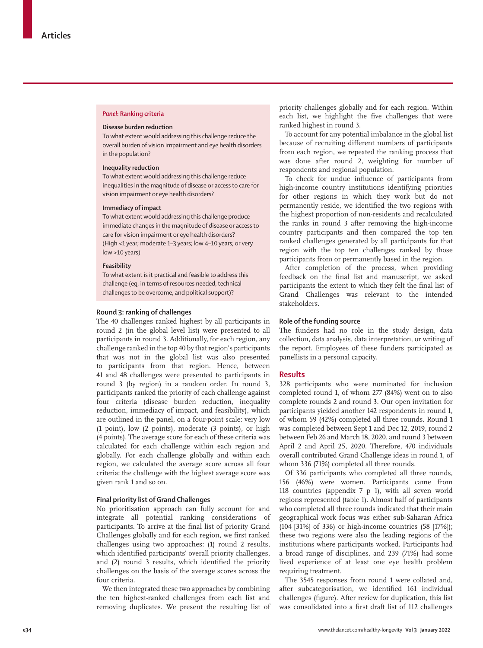## *Panel***: Ranking criteria**

## **Disease burden reduction**

To what extent would addressing this challenge reduce the overall burden of vision impairment and eye health disorders in the population?

## **Inequality reduction**

To what extent would addressing this challenge reduce inequalities in the magnitude of disease or access to care for vision impairment or eye health disorders?

#### **Immediacy of impact**

To what extent would addressing this challenge produce immediate changes in the magnitude of disease or access to care for vision impairment or eye health disorders? (High <1 year; moderate 1–3 years; low 4–10 years; or very low >10 years)

# **Feasibility**

To what extent is it practical and feasible to address this challenge (eg, in terms of resources needed, technical challenges to be overcome, and political support)?

#### **Round 3: ranking of challenges**

The 40 challenges ranked highest by all participants in round 2 (in the global level list) were presented to all participants in round 3. Additionally, for each region, any challenge ranked in the top 40 by that region's participants that was not in the global list was also presented to participants from that region. Hence, between 41 and 48 challenges were presented to participants in round 3 (by region) in a random order. In round 3, participants ranked the priority of each challenge against four criteria (disease burden reduction, inequality reduction, immediacy of impact, and feasibility), which are outlined in the panel, on a four-point scale: very low (1 point), low (2 points), moderate (3 points), or high (4 points). The average score for each of these criteria was calculated for each challenge within each region and globally. For each challenge globally and within each region, we calculated the average score across all four criteria; the challenge with the highest average score was given rank 1 and so on.

# **Final priority list of Grand Challenges**

No prioritisation approach can fully account for and integrate all potential ranking considerations of participants. To arrive at the final list of priority Grand Challenges globally and for each region, we first ranked challenges using two approaches: (1) round 2 results, which identified participants' overall priority challenges, and (2) round 3 results, which identified the priority challenges on the basis of the average scores across the four criteria.

We then integrated these two approaches by combining the ten highest-ranked challenges from each list and removing duplicates. We present the resulting list of priority challenges globally and for each region. Within each list, we highlight the five challenges that were ranked highest in round 3.

To account for any potential imbalance in the global list because of recruiting different numbers of participants from each region, we repeated the ranking process that was done after round 2, weighting for number of respondents and regional population.

To check for undue influence of participants from high-income country institutions identifying priorities for other regions in which they work but do not permanently reside, we identified the two regions with the highest proportion of non-residents and recalculated the ranks in round 3 after removing the high-income country participants and then compared the top ten ranked challenges generated by all participants for that region with the top ten challenges ranked by those participants from or permanently based in the region.

After completion of the process, when providing feedback on the final list and manuscript, we asked participants the extent to which they felt the final list of Grand Challenges was relevant to the intended stakeholders.

#### **Role of the funding source**

The funders had no role in the study design, data collection, data analysis, data interpretation, or writing of the report. Employees of these funders participated as panellists in a personal capacity.

## **Results**

328 participants who were nominated for inclusion completed round 1, of whom 277 (84%) went on to also complete rounds 2 and round 3. Our open invitation for participants yielded another 142 respondents in round 1, of whom 59 (42%) completed all three rounds. Round 1 was completed between Sept 1 and Dec 12, 2019, round 2 between Feb 26 and March 18, 2020, and round 3 between April 2 and April 25, 2020. Therefore, 470 individuals overall contributed Grand Challenge ideas in round 1, of whom 336 (71%) completed all three rounds.

Of 336 participants who completed all three rounds, 156 (46%) were women. Participants came from 118 countries (appendix 7 p 1), with all seven world regions represented (table 1). Almost half of participants who completed all three rounds indicated that their main geographical work focus was either sub-Saharan Africa (104 [31%] of 336) or high-income countries (58 [17%]); these two regions were also the leading regions of the institutions where participants worked. Participants had a broad range of disciplines, and 239 (71%) had some lived experience of at least one eye health problem requiring treatment.

The 3545 responses from round 1 were collated and, after subcategorisation, we identified 161 individual challenges (figure). After review for duplication, this list was consolidated into a first draft list of 112 challenges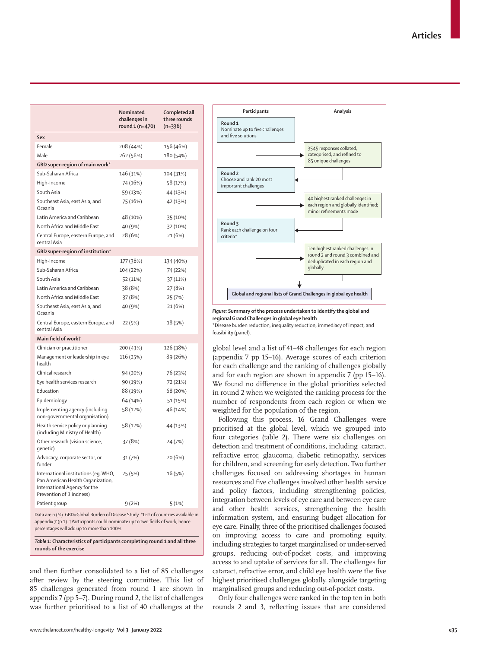|                                                                                                                                       | Nominated<br>challenges in<br>round 1 (n=470) | Completed all<br>three rounds<br>$(n=336)$ |  |
|---------------------------------------------------------------------------------------------------------------------------------------|-----------------------------------------------|--------------------------------------------|--|
| Sex                                                                                                                                   |                                               |                                            |  |
| Female                                                                                                                                | 208 (44%)                                     | 156 (46%)                                  |  |
| Male                                                                                                                                  | 262 (56%)                                     | 180 (54%)                                  |  |
| GBD super-region of main work*                                                                                                        |                                               |                                            |  |
| Sub-Saharan Africa                                                                                                                    | 146 (31%)                                     | 104 (31%)                                  |  |
| High-income                                                                                                                           | 74 (16%)                                      | 58 (17%)                                   |  |
| South Asia                                                                                                                            | 59 (13%)                                      | 44 (13%)                                   |  |
| Southeast Asia, east Asia, and<br>Oceania                                                                                             | 75 (16%)                                      | 42 (13%)                                   |  |
| Latin America and Caribbean                                                                                                           | 48 (10%)                                      | 35 (10%)                                   |  |
| North Africa and Middle East                                                                                                          | 40 (9%)                                       | 32 (10%)                                   |  |
| Central Europe, eastern Europe, and<br>central Asia                                                                                   | 28 (6%)                                       | 21 (6%)                                    |  |
| GBD super-region of institution*                                                                                                      |                                               |                                            |  |
| High-income                                                                                                                           | 177 (38%)                                     | 134 (40%)                                  |  |
| Sub-Saharan Africa                                                                                                                    | 104 (22%)                                     | 74 (22%)                                   |  |
| South Asia                                                                                                                            | 52 (11%)                                      | 37 (11%)                                   |  |
| Latin America and Caribbean                                                                                                           | 38 (8%)                                       | 27 (8%)                                    |  |
| North Africa and Middle East                                                                                                          | 37 (8%)                                       | 25 (7%)                                    |  |
| Southeast Asia, east Asia, and<br>Oceania                                                                                             | 40 (9%)                                       | 21 (6%)                                    |  |
| Central Europe, eastern Europe, and<br>central Asia                                                                                   | 22 (5%)                                       | 18 (5%)                                    |  |
| Main field of workt                                                                                                                   |                                               |                                            |  |
| Clinician or practitioner                                                                                                             | 200 (43%)                                     | 126 (38%)                                  |  |
| Management or leadership in eye<br>health                                                                                             | 116 (25%)                                     | 89 (26%)                                   |  |
| Clinical research                                                                                                                     | 94 (20%)                                      | 76 (23%)                                   |  |
| Eye health services research                                                                                                          | 90 (19%)                                      | 72 (21%)                                   |  |
| Education                                                                                                                             | 88 (19%)                                      | 68 (20%)                                   |  |
| Epidemiology                                                                                                                          | 64 (14%)                                      | 51 (15%)                                   |  |
| Implementing agency (including<br>non-governmental organisation)                                                                      | 58 (12%)                                      | 46 (14%)                                   |  |
| Health service policy or planning<br>(including Ministry of Health)                                                                   | 58 (12%)                                      | 44 (13%)                                   |  |
| Other research (vision science,<br>qenetic)                                                                                           | 37 (8%)                                       | 24 (7%)                                    |  |
| Advocacy, corporate sector, or<br>funder                                                                                              | 31(7%)                                        | 20 (6%)                                    |  |
| International institutions (eq, WHO,<br>Pan American Health Organization,<br>International Agency for the<br>Prevention of Blindness) | 25 (5%)                                       | 16 (5%)                                    |  |
| Patient group                                                                                                                         | 9(2%)                                         | 5(1%)                                      |  |
| Data are n (%). GBD=Global Burden of Disease Study. *List of countries available in                                                   |                                               |                                            |  |

appendix 7 (p 1). †Participants could nominate up to two fields of work, hence percentages will add up to more than 100%.

*Table 1:* **Characteristics of participants completing round 1 and all three rounds of the exercise**

and then further consolidated to a list of 85 challenges after review by the steering committee. This list of 85 challenges generated from round 1 are shown in appendix 7 (pp 5–7). During round 2, the list of challenges was further prioritised to a list of 40 challenges at the



*Figure:* **Summary of the process undertaken to identify the global and regional Grand Challenges in global eye health** \*Disease burden reduction, inequality reduction, immediacy of impact, and

feasibility (panel).

global level and a list of 41–48 challenges for each region (appendix 7 pp 15–16). Average scores of each criterion for each challenge and the ranking of challenges globally and for each region are shown in appendix 7 (pp 15–16). We found no difference in the global priorities selected in round 2 when we weighted the ranking process for the number of respondents from each region or when we weighted for the population of the region.

Following this process, 16 Grand Challenges were prioritised at the global level, which we grouped into four categories (table 2). There were six challenges on detection and treatment of conditions, including cataract, refractive error, glaucoma, diabetic retinopathy, services for children, and screening for early detection. Two further challenges focused on addressing shortages in human resources and five challenges involved other health service and policy factors, including strengthening policies, integration between levels of eye care and between eye care and other health services, strengthening the health information system, and ensuring budget allocation for eye care. Finally, three of the prioritised challenges focused on improving access to care and promoting equity, including strategies to target marginalised or under-served groups, reducing out-of-pocket costs, and improving access to and uptake of services for all. The challenges for cataract, refractive error, and child eye health were the five highest prioritised challenges globally, alongside targeting marginalised groups and reducing out-of-pocket costs.

Only four challenges were ranked in the top ten in both rounds 2 and 3, reflecting issues that are considered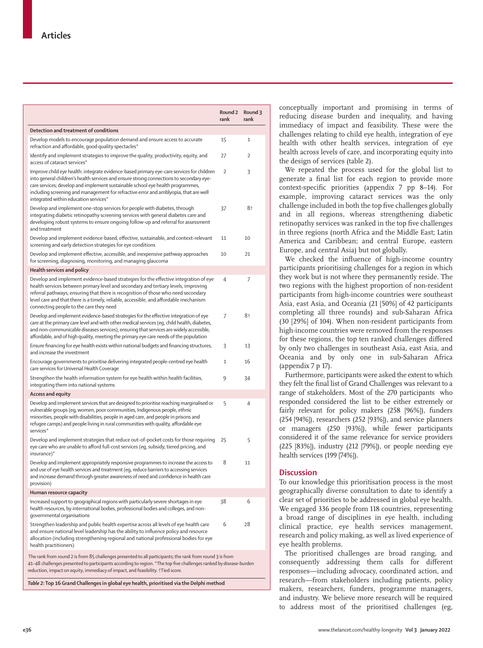|                                                                                                                                                                                                                                                                                                                                                                                                         | Round 2<br>rank | Round 3<br>rank |
|---------------------------------------------------------------------------------------------------------------------------------------------------------------------------------------------------------------------------------------------------------------------------------------------------------------------------------------------------------------------------------------------------------|-----------------|-----------------|
| Detection and treatment of conditions                                                                                                                                                                                                                                                                                                                                                                   |                 |                 |
| Develop models to encourage population demand and ensure access to accurate<br>refraction and affordable, good quality spectacles*                                                                                                                                                                                                                                                                      | 15              | 1               |
| Identify and implement strategies to improve the quality, productivity, equity, and<br>access of cataract services*                                                                                                                                                                                                                                                                                     | 27              | 2               |
| Improve child eye health: integrate evidence-based primary eye-care services for children<br>into general children's health services and ensure strong connections to secondary eye-<br>care services; develop and implement sustainable school eye health programmes,<br>including screening and management for refractive error and amblyopia, that are well<br>integrated within education services* | 2               | 3               |
| Develop and implement one-stop services for people with diabetes, through<br>integrating diabetic retinopathy screening services with general diabetes care and<br>developing robust systems to ensure ongoing follow-up and referral for assessment<br>and treatment                                                                                                                                   | 37              | 8†              |
| Develop and implement evidence-based, effective, sustainable, and context-relevant<br>screening and early detection strategies for eye conditions                                                                                                                                                                                                                                                       | 11              | 10              |
| Develop and implement effective, accessible, and inexpensive pathway approaches<br>for screening, diagnosing, monitoring, and managing glaucoma                                                                                                                                                                                                                                                         | 10              | 21              |
| Health services and policy                                                                                                                                                                                                                                                                                                                                                                              |                 |                 |
| Develop and implement evidence-based strategies for the effective integration of eye<br>health services between primary level and secondary and tertiary levels, improving<br>referral pathways; ensuring that there is recognition of those who need secondary<br>level care and that there is a timely, reliable, accessible, and affordable mechanism<br>connecting people to the care they need     | 4               | 7               |
| Develop and implement evidence-based strategies for the effective integration of eye<br>care at the primary care level and with other medical services (eq, child health, diabetes,<br>and non-communicable diseases services); ensuring that services are widely accessible,<br>affordable, and of high quality, meeting the primary eye care needs of the population                                  | 7               | 8†              |
| Ensure financing for eye health exists within national budgets and financing structures,<br>and increase the investment                                                                                                                                                                                                                                                                                 | 3               | 13              |
| Encourage governments to prioritise delivering integrated people-centred eye health<br>care services for Universal Health Coverage                                                                                                                                                                                                                                                                      | 1               | 16              |
| Strengthen the health information system for eye health within health facilities,<br>integrating them into national systems                                                                                                                                                                                                                                                                             | 9               | 34              |
| Access and equity                                                                                                                                                                                                                                                                                                                                                                                       |                 |                 |
| Develop and implement services that are designed to prioritise reaching marginalised or<br>vulnerable groups (eg, women, poor communities, Indigenous people, ethnic<br>minorities, people with disabilities, people in aged care, and people in prisons and<br>refugee camps) and people living in rural communities with quality, affordable eye<br>services*                                         | 5               | 4               |
| Develop and implement strategies that reduce out-of-pocket costs for those requiring<br>eye care who are unable to afford full-cost services (eq, subsidy, tiered pricing, and<br>insurance)*                                                                                                                                                                                                           | 25              | 5               |
| Develop and implement appropriately responsive programmes to increase the access to<br>and use of eye health services and treatment (eq, reduce barriers to accessing services<br>and increase demand through greater awareness of need and confidence in health care<br>provision)                                                                                                                     | 8               |                 |
| Human resource capacity                                                                                                                                                                                                                                                                                                                                                                                 |                 |                 |
| Increased support to geographical regions with particularly severe shortages in eye<br>health resources, by international bodies, professional bodies and colleges, and non-<br>governmental organisations                                                                                                                                                                                              | 38              | 6               |
| Strengthen leadership and public health expertise across all levels of eye health care<br>and ensure national level leadership has the ability to influence policy and resource<br>allocation (including strengthening regional and national professional bodies for eye<br>health practitioners)                                                                                                       | 6               | 28              |
| The rank from round 2 is from 85 challenges presented to all participants; the rank from round 3 is from<br>41–48 challenges presented to participants according to region. *The top five challenges ranked by disease-burden<br>reduction, impact on equity, immediacy of impact, and feasibility. +Tied score.                                                                                        |                 |                 |
| Table 2: Top 16 Grand Challenges in global eve health, prioritised via the Delphi method                                                                                                                                                                                                                                                                                                                |                 |                 |

conceptually important and promising in terms of reducing disease burden and inequality, and having immediacy of impact and feasibility. These were the challenges relating to child eye health, integration of eye health with other health services, integration of eye health across levels of care, and incorporating equity into the design of services (table 2).

We repeated the process used for the global list to generate a final list for each region to provide more context-specific priorities (appendix 7 pp 8–14). For example, improving cataract services was the only challenge included in both the top five challenges globally and in all regions, whereas strengthening diabetic retinopathy services was ranked in the top five challenges in three regions (north Africa and the Middle East; Latin America and Caribbean; and central Europe, eastern Europe, and central Asia) but not globally.

We checked the influence of high-income country participants prioritising challenges for a region in which they work but is not where they permanently reside. The two regions with the highest proportion of non-resident participants from high-income countries were southeast Asia, east Asia, and Oceania (21 [50%] of 42 participants completing all three rounds) and sub-Saharan Africa (30 [29%] of 104). When non-resident participants from high-income countries were removed from the responses for these regions, the top ten ranked challenges differed by only two challenges in southeast Asia, east Asia, and Oceania and by only one in sub-Saharan Africa (appendix 7 p 17).

Furthermore, participants were asked the extent to which they felt the final list of Grand Challenges was relevant to a range of stakeholders. Most of the 270 participants who responded considered the list to be either extremely or fairly relevant for policy makers (258 [96%]), funders (254 [94%]), researchers (252 [93%]), and service planners or managers (250 [93%]), while fewer participants considered it of the same relevance for service providers (225 [83%]), industry (212 [79%]), or people needing eye health services (199 [74%]).

# **Discussion**

To our knowledge this prioritisation process is the most geographically diverse consultation to date to identify a clear set of priorities to be addressed in global eye health. We engaged 336 people from 118 countries, representing a broad range of disciplines in eye health, including clinical practice, eye health services management, research and policy making, as well as lived experience of eye health problems.

The prioritised challenges are broad ranging, and consequently addressing them calls for different responses—including advocacy, coordinated action, and research—from stakeholders including patients, policy makers, researchers, funders, programme managers, and industry. We believe more research will be required to address most of the prioritised challenges (eg,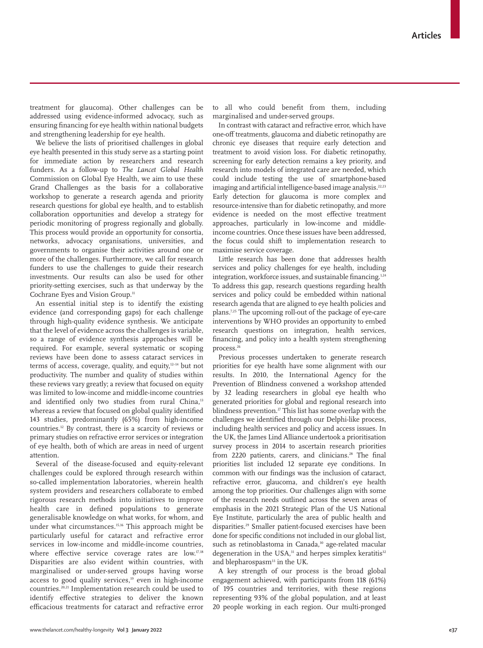treatment for glaucoma). Other challenges can be addressed using evidence-informed advocacy, such as ensuring financing for eye health within national budgets and strengthening leadership for eye health.

We believe the lists of prioritised challenges in global eye health presented in this study serve as a starting point for immediate action by researchers and research funders. As a follow-up to *The Lancet Global Health* Commission on Global Eye Health, we aim to use these Grand Challenges as the basis for a collaborative workshop to generate a research agenda and priority research questions for global eye health, and to establish collaboration opportunities and develop a strategy for periodic monitoring of progress regionally and globally. This process would provide an opportunity for consortia, networks, advocacy organisations, universities, and governments to organise their activities around one or more of the challenges. Furthermore, we call for research funders to use the challenges to guide their research investments. Our results can also be used for other priority-setting exercises, such as that underway by the Cochrane Eyes and Vision Group.<sup>11</sup>

An essential initial step is to identify the existing evidence (and corresponding gaps) for each challenge through high-quality evidence synthesis. We anticipate that the level of evidence across the challenges is variable, so a range of evidence synthesis approaches will be required. For example, several systematic or scoping reviews have been done to assess cataract services in terms of access, coverage, quality, and equity,<sup>12-14</sup> but not productivity. The number and quality of studies within these reviews vary greatly; a review that focused on equity was limited to low-income and middle-income countries and identified only two studies from rural China,<sup>13</sup> whereas a review that focused on global quality identified 143 studies, predominantly (65%) from high-income countries.12 By contrast, there is a scarcity of reviews or primary studies on refractive error services or integration of eye health, both of which are areas in need of urgent attention.

Several of the disease-focused and equity-relevant challenges could be explored through research within so-called implementation laboratories, wherein health system providers and researchers collaborate to embed rigorous research methods into initiatives to improve health care in defined populations to generate generalisable knowledge on what works, for whom, and under what circumstances.15,16 This approach might be particularly useful for cataract and refractive error services in low-income and middle-income countries, where effective service coverage rates are low.<sup>17,18</sup> Disparities are also evident within countries, with marginalised or under-served groups having worse access to good quality services,<sup>19</sup> even in high-income countries.20,21 Implementation research could be used to identify effective strategies to deliver the known efficacious treatments for cataract and refractive error to all who could benefit from them, including marginalised and under-served groups.

In contrast with cataract and refractive error, which have one-off treatments, glaucoma and diabetic retinopathy are chronic eye diseases that require early detection and treatment to avoid vision loss. For diabetic retinopathy, screening for early detection remains a key priority, and research into models of integrated care are needed, which could include testing the use of smartphone-based imaging and artificial intelligence-based image analysis.<sup>22,23</sup> Early detection for glaucoma is more complex and resource-intensive than for diabetic retinopathy, and more evidence is needed on the most effective treatment approaches, particularly in low-income and middleincome countries. Once these issues have been addressed, the focus could shift to implementation research to maximise service coverage.

Little research has been done that addresses health services and policy challenges for eye health, including integration, workforce issues, and sustainable financing.<sup>1,24</sup> To address this gap, research questions regarding health services and policy could be embedded within national research agenda that are aligned to eye health policies and plans.7,25 The upcoming roll-out of the package of eye-care interventions by WHO provides an opportunity to embed research questions on integration, health services, financing, and policy into a health system strengthening process.26

Previous processes undertaken to generate research priorities for eye health have some alignment with our results. In 2010, the International Agency for the Prevention of Blindness convened a workshop attended by 32 leading researchers in global eye health who generated priorities for global and regional research into blindness prevention.<sup>27</sup> This list has some overlap with the challenges we identified through our Delphi-like process, including health services and policy and access issues. In the UK, the James Lind Alliance undertook a prioritisation survey process in 2014 to ascertain research priorities from 2220 patients, carers, and clinicians.<sup>28</sup> The final priorities list included 12 separate eye conditions. In common with our findings was the inclusion of cataract, refractive error, glaucoma, and children's eye health among the top priorities. Our challenges align with some of the research needs outlined across the seven areas of emphasis in the 2021 Strategic Plan of the US National Eye Institute, particularly the area of public health and disparities.<sup>29</sup> Smaller patient-focused exercises have been done for specific conditions not included in our global list, such as retinoblastoma in Canada,<sup>30</sup> age-related macular degeneration in the USA,<sup>31</sup> and herpes simplex keratitis<sup>32</sup> and blepharospasm<sup>33</sup> in the UK.

A key strength of our process is the broad global engagement achieved, with participants from 118 (61%) of 195 countries and territories, with these regions representing 93% of the global population, and at least 20 people working in each region. Our multi-pronged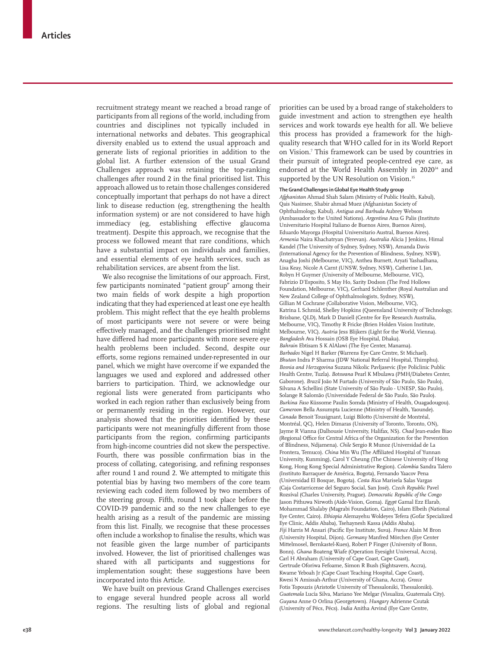recruitment strategy meant we reached a broad range of participants from all regions of the world, including from countries and disciplines not typically included in international networks and debates. This geographical diversity enabled us to extend the usual approach and generate lists of regional priorities in addition to the global list. A further extension of the usual Grand Challenges approach was retaining the top-ranking challenges after round 2 in the final prioritised list. This approach allowed us to retain those challenges considered conceptually important that perhaps do not have a direct link to disease reduction (eg, strengthening the health information system) or are not considered to have high immediacy (eg, establishing effective glaucoma treatment). Despite this approach, we recognise that the process we followed meant that rare conditions, which have a substantial impact on individuals and families, and essential elements of eye health services, such as rehabilitation services, are absent from the list.

We also recognise the limitations of our approach. First, few participants nominated "patient group" among their two main fields of work despite a high proportion indicating that they had experienced at least one eye health problem. This might reflect that the eye health problems of most participants were not severe or were being effectively managed, and the challenges prioritised might have differed had more participants with more severe eye health problems been included. Second, despite our efforts, some regions remained under-represented in our panel, which we might have overcome if we expanded the languages we used and explored and addressed other barriers to participation. Third, we acknowledge our regional lists were generated from participants who worked in each region rather than exclusively being from or permanently residing in the region. However, our analysis showed that the priorities identified by these participants were not meaningfully different from those participants from the region, confirming participants from high-income countries did not skew the perspective. Fourth, there was possible confirmation bias in the process of collating, categorising, and refining responses after round 1 and round 2. We attempted to mitigate this potential bias by having two members of the core team reviewing each coded item followed by two members of the steering group. Fifth, round 1 took place before the COVID-19 pandemic and so the new challenges to eye health arising as a result of the pandemic are missing from this list. Finally, we recognise that these processes often include a workshop to finalise the results, which was not feasible given the large number of participants involved. However, the list of prioritised challenges was shared with all participants and suggestions for implementation sought; these suggestions have been incorporated into this Article.

We have built on previous Grand Challenges exercises to engage several hundred people across all world regions. The resulting lists of global and regional priorities can be used by a broad range of stakeholders to guide investment and action to strengthen eye health services and work towards eye health for all. We believe this process has provided a framework for the highquality research that WHO called for in its World Report on Vision.7 This framework can be used by countries in their pursuit of integrated people-centred eye care, as endorsed at the World Health Assembly in 2020<sup>34</sup> and supported by the UN Resolution on Vision.<sup>35</sup>

#### **The Grand Challenges in Global Eye Health Study group**

*Afghanistan* Ahmad Shah Salam (Ministry of Public Health, Kabul), Qais Nasimee, Shabir ahmad Muez (Afghanistan Society of Ophthalmology, Kabul). *Antigua and Barbuda* Aubrey Webson (Ambassador to the United Nations). *Argentina* Ana G Palis (Instituto Universitario Hospital Italiano de Buenos Aires, Buenos Aires), Eduardo Mayorga (Hospital Universitario Austral, Buenos Aires). *Armenia* Naira Khachatryan (Yerevan). *Australia* Alicia J Jenkins, Himal Kandel (The University of Sydney, Sydney, NSW), Amanda Davis (International Agency for the Prevention of Blindness, Sydney, NSW), Anagha Joshi (Melbourne, VIC), Anthea Burnett, Aryati Yashadhana, Lisa Keay, Nicole A Carnt (UNSW, Sydney, NSW), Catherine L Jan, Robyn H Guymer (University of Melbourne, Melbourne, VIC), Fabrizio D'Esposito, S May Ho, Sarity Dodson (The Fred Hollows Foundation, Melbourne, VIC), Gerhard Schlenther (Royal Australian and New Zealand College of Ophthalmologists, Sydney, NSW), Gillian M Cochrane (Collaborative Vision, Melbourne, VIC), Katrina L Schmid, Shelley Hopkins (Queensland University of Technology, Brisbane, QLD), Mark D Daniell (Centre for Eye Research Australia, Melbourne, VIC), Timothy R Fricke (Brien Holden Vision Institute, Melbourne, VIC). *Austria* Jess Blijkers (Light for the World, Vienna). *Bangladesh* Ava Hossain (OSB Eye Hospital, Dhaka). *Bahrain* Ebtisam S K AlAlawi (The Eye Center, Manama). *Barbados* Nigel H Barker (Warrens Eye Care Centre, St Michael). *Bhutan* Indra P Sharma (JDW National Referral Hospital, Thimphu). *Bosnia and Herzegovina* Suzana Nikolic Pavljasevic (Eye Policlinic Public Health Centre, Tuzla). *Botswana* Pearl K Mbulawa (PMH/Diabetes Center, Gaborone). *Brazil* João M Furtado (University of São Paulo, São Paulo), Silvana A Schellini (State University of São Paulo - UNESP, São Paulo), Solange R Salomão (Universidade Federal de São Paulo, São Paulo). *Burkina Faso* Küssome Paulin Somda (Ministry of Health, Ouagadougou). *Cameroon* Bella Assumpta Lucienne (Ministry of Health, Yaounde). *Canada* Benoit Tousignant, Luigi Bilotto (Université de Montréal, Montréal, QC), Helen Dimaras (University of Toronto, Toronto, ON), Jayme R Vianna (Dalhousie University, Halifax, NS). *Chad* Jean-eudes Biao (Regional Office for Central Africa of the Organization for the Prevention of Blindness, Ndjamena). *Chile* Sergio R Munoz (Universidad de La Frontera, Temuco). *China* Min Wu (The Affiliated Hospital of Yunnan University, Kunming), Carol Y Cheung (The Chinese University of Hong Kong, Hong Kong Special Administrative Region). *Colombia* Sandra Talero (Instituto Barraquer de América, Bogota), Fernando Yaacov Pena (Universidad El Bosque, Bogota). *Costa Rica* Marisela Salas Vargas (Caja Costarricense del Seguro Social, San José). *Czech Republic* Pavel Rozsíval (Charles University, Prague). *Democratic Republic of the Congo* Jason Pithuwa Nirwoth (Aide-Vision, Goma). *Egypt* Gamal Ezz Elarab, Mohammad Shalaby (Magrabi Foundation, Cairo), Islam Elbeih (National Eye Center, Cairo). *Ethiopia* Alemayehu Woldeyes Tefera (Gofar Specialized Eye Clinic, Addis Ababa), Tsehaynesh Kassa (Addis Ababa). *Fiji* Harris M Ansari (Pacific Eye Institute, Suva). *France* Alain M Bron (University Hospital, Dijon). *Germany* Manfred Mörchen (Eye Center Mittelmosel, Bernkastel-Kues), Robert P Finger (University of Bonn, Bonn). *Ghana* Boateng Wiafe (Operation Eyesight Universal, Accra), Carl H Abraham (University of Cape Coast, Cape Coast), Gertrude Oforiwa Fefoame, Simon R Bush (Sightsavers, Accra), Kwame Yeboah Jr (Cape Coast Teaching Hospital, Cape Coast), Kwesi N Amissah-Arthur (University of Ghana, Accra). *Greece* Fotis Topouzis (Aristotle University of Thessaloniki, Thessaloniki). *Guatemala* Lucía Silva, Mariano Yee Melgar (Visualiza, Guatemala City). *Guyana* Anne O Orlina (Georgetown). *Hungary* Adrienne Csutak (University of Pécs, Pécs). *India* Anitha Arvind (Eye Care Centre,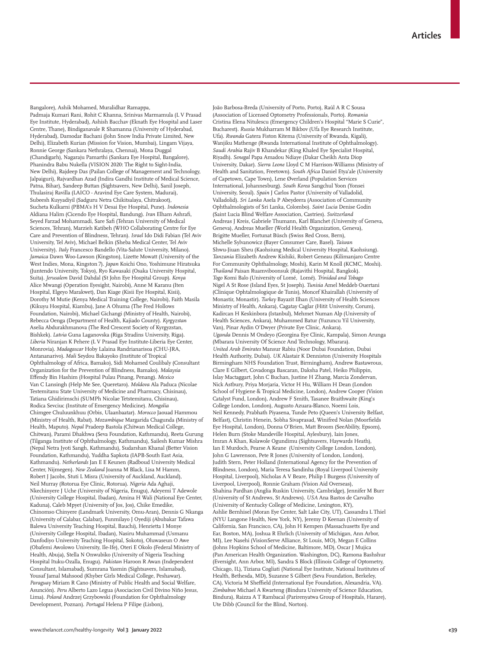Bangalore), Ashik Mohamed, Muralidhar Ramappa, Padmaja Kumari Rani, Rohit C Khanna, Srinivas Marmamula (L V Prasad Eye Institute, Hyderabad), Ashish Bacchav (Eknath Eye Hospital and Laser Centre, Thane), Bindiganavale R Shamanna (University of Hyderabad, Hyderabad), Damodar Bachani (John Snow India Private Limited, New Delhi), Elizabeth Kurian (Mission for Vision, Mumbai), Lingam Vijaya, Ronnie George (Sankara Nethralaya, Chennai), Mona Duggal (Chandigarh), Nagaraju Pamarthi (Sankara Eye Hospital, Bangalore), Phanindra Babu Nukella (VISION 2020: The Right to Sight-India, New Delhi), Rajdeep Das (Pailan College of Management and Technology, Jalpaiguri), Rajvardhan Azad (Indira Gandhi Institute of Medical Science, Patna, Bihar), Sandeep Buttan (Sightsavers, New Delhi), Sanil Joseph, Thulasiraj Ravilla (LAICO - Aravind Eye Care System, Madurai), Subeesh Kuyyadiyil (Sadguru Netra Chikitsalaya, Chitrakoot), Sucheta Kulkarni (PBMA's H V Desai Eye Hospital, Pune). *Indonesia* Aldiana Halim (Cicendo Eye Hospital, Bandung). *Iran* Elham Ashrafi, Seyed Farzad Mohammadi, Sare Safi (Tehran University of Medical Sciences, Tehran), Marzieh Katibeh (WHO Collaborating Centre for Eye Care and Prevention of Blindness, Tehran). *Israel* Ido Didi Fabian (Tel Aviv University, Tel Aviv), Michael Belkin (Sheba Medical Center, Tel Aviv University). *Italy* Francesco Bandello (Vita-Salute University, Milano). *Jamaica* Dawn Woo-Lawson (Kingston), Lizette Mowatt (University of the West Indies, Mona, Kingston 7). *Japan* Koichi Ono, Yoshimune Hiratsuka (Juntendo University, Tokyo), Ryo Kawasaki (Osaka University Hospital, Suita). *Jerusalem* David Dahdal (St John Eye Hospital Group). *Kenya* Alice Mwangi (Operation Eyesight, Nairobi), Anne M Karanu (Iten Hospital, Elgeyo Marakwet), Dan Kiage (Kisii Eye Hospital, Kisii), Dorothy M Mutie (Kenya Medical Training College, Nairobi), Faith Masila (Kikuyu Hospital, Kiambu), Jane A Ohuma (The Fred Hollows Foundation, Nairobi), Michael Gichangi (Ministry of Health, Nairobi), Rebecca Oenga (Department of Health, Kajiado County). *Kyrgyzstan* Aselia Abdurakhmanova (The Red Crescent Society of Kyrgyzstan, Bishkek). *Latvia* Guna Laganovska (Riga Stradins University, Riga). *Liberia* Niranjan K Pehere (L V Prasad Eye Institute-Liberia Eye Center, Monrovia). *Madagascar* Hoby Lalaina Randrianarisoa (CHU-JRA, Antananarivo). *Mali* Seydou Bakayoko (Institute of Tropical Ophthalmology of Africa, Bamako), Sidi Mohamed Coulibaly (Consultant Organization for the Prevention of Blindness, Bamako). *Malaysia* Effendy Bin Hashim (Hospital Pulau Pinang, Penang). *Mexico* Van C Lansingh (Help Me See, Queretaro). *Moldova* Ala Paduca (Nicolae Testemitanu State University of Medicine and Pharmacy, Chisinau), Tatiana Ghidirimschi (SUMPh Nicolae Tetstemitanu, Chisinau), Rodica Sevciuc (Institute of Emergency Medicine). *Mongolia* Chimgee Chuluunkhuu (Orbis, Ulaanbaatar). *Morocco* Jaouad Hammou (Ministry of Health, Rabat). *Mozambique* Margarida Chagunda (Ministry of Health, Maputo). *Nepal* Pradeep Bastola (Chitwan Medical College, Chitwan), Parami Dhakhwa (Seva Foundation, Kathmandu), Reeta Gurung (Tilganga Institute of Ophthalmology, Kathmandu), Sailesh Kumar Mishra (Nepal Netra Jyoti Sangh, Kathmandu), Sudarshan Khanal (Better Vision Foundation, Kathmandu), Yuddha Sapkota (IAPB-South East Asia, Kathmandu). *Netherlands* Jan E E Keunen (Radboud University Medical Center, Nijmegen). *New Zealand* Joanna M Black, Lisa M Hamm, Robert J Jacobs, Stuti L Misra (University of Auckland, Auckland), Neil Murray (Rotorua Eye Clinic, Rotorua). *Nigeria* Ada Aghaji, Nkechinyere J Uche (University of Nigeria, Enugu), Adeyemi T Adewole (University College Hospital, Ibadan), Amina H Wali (National Eye Center, Kaduna), Caleb Mpyet (University of Jos, Jos), Chike Emedike, Chinomso Chinyere (Landmark University, Omu-Aran), Dennis G Nkanga (University of Calabar, Calabar), Funmilayo J Oyediji (Abubakar Tafawa Balewa University Teaching Hospital, Bauchi), Henrietta I Monye (University College Hospital, Ibadan), Nasiru Muhammad (Usmanu Danfodiyo University Teaching Hospital, Sokoto), Oluwaseun O Awe (Obafemi Awolowo University, Ile-Ife), Oteri E Okolo (Federal Ministry of Health, Abuja), Stella N Onwubiko (University of Nigeria Teaching Hospital Ituku-Ozalla, Enugu). *Pakistan* Haroon R Awan (Independent Consultant, Islamabad), Sumrana Yasmin (Sightsavers, Islamabad), Yousaf Jamal Mahsood (Khyber Girls Medical College, Peshawar). *Paraguay* Miriam R Cano (Ministry of Public Health and Social Welfare, Asunción). *Peru* Alberto Lazo Legua (Asociacion Civil Divino Niño Jesus, Lima). *Poland* Andrzej Grzybowski (Foundation for Ophthalmology Development, Poznan). *Portugal* Helena P Filipe (Lisbon),

João Barbosa-Breda (University of Porto, Porto), Raúl A R C Sousa (Association of Licensed Optometry Professionals, Porto). *Romania* Cristina Elena Nitulescu (Emergency Children's Hospital "Marie S Curie", Bucharest). *Russia* Mukharram M Bikbov (Ufa Eye Research Institute, Ufa). *Rwanda* Gatera Fiston Kitema (University of Rwanda, Kigali), Wanjiku Mathenge (Rwanda International Institute of Ophthalmology). *Saudi Arabia* Rajiv B Khandekar (King Khaled Eye Specialist Hospital, Riyadh). *Senegal* Papa Amadou Ndiaye (Dakar Cheikh Anta Diop University, Dakar). *Sierra Leone* Lloyd C M Harrison-Williams (Ministry of Health and Sanitation, Freetown). *South Africa* Daniel Etya'ale (University of Capetown, Cape Town), Lene Øverland (Population Services International, Johannesburg). *South Korea* Sangchul Yoon (Yonsei University, Seoul). *Spain* J Carlos Pastor (University of Valladolid, Valladolid). *Sri Lanka* Asela P Abeydeera (Association of Community Ophthalmologists of Sri Lanka, Colombo). *Saint Lucia* Denise Godin (Saint Lucia Blind Welfare Association, Castries). *Switzerland* Andreas J Kreis, Gabriele Thumann, Karl Blanchet (University of Geneva, Geneva), Andreas Mueller (World Health Organization, Geneva), Brigitte Mueller, Fortunat Büsch (Swiss Red Cross, Bern), Michelle Sylvanowicz (Bayer Consumer Care, Basel). *Taiwan* Shwu-Jiuan Sheu (Kaohsiung Medical University Hospital, Kaohsiung). *Tanzania* Elizabeth Andrew Kishiki, Robert Geneau (Kilimanjaro Centre For Community Ophthalmology, Moshi), Karin M Knoll (KCMC, Moshi). *Thailand* Paisan Ruamviboonsuk (Rajavithi Hospital, Bangkok). *Togo* Komi Balo (University of Lomé, Lomé). *Trinidad and Tobago* Nigel A St Rose (Island Eyes, St Joseph). *Tunisia* Amel Meddeb Ouertani (Clinique Ophtalmologique de Tunis), Moncef Khairallah (University of Monastir, Monastir). *Turkey* Bayazit Ilhan (University of Health Sciences Ministry of Health, Ankara), Cagatay Caglar (Hitit University, Corum), Kadircan H Keskinbora (Istanbul), Mehmet Numan Alp (University of Health Sciences, Ankara), Muhammed Batur (Yuzuncu Yil University, Van), Pinar Aydin O'Dwyer (Private Eye Clinic, Ankara). *Uganda* Dennis M Ondeyo (Georgina Eye Clinic, Kampala), Simon Arunga (Mbarara University Of Science And Technology, Mbarara). *United Arab Emirates* Mansur Rabiu (Noor Dubai Foundation, Dubai Health Authority, Dubai). *UK* Alastair K Denniston (University Hospitals Birmingham NHS Foundation Trust, Birmingham), Andrew Bastawrous, Clare E Gilbert, Covadonga Bascaran, Daksha Patel, Heiko Philippin, Islay Mactaggart, John C Buchan, Justine H Zhang, Marcia Zondervan, Nick Astbury, Priya Morjaria, Victor H Hu, William H Dean (London School of Hygiene & Tropical Medicine, London), Andrew Cooper (Vision Catalyst Fund, London), Andrew F Smith, Tasanee Braithwaite (King's College London, London), Augusto Azuara-Blanco, Noemi Lois, Neil Kennedy, Prabhath Piyasena, Tunde Peto (Queen's University Belfast, Belfast), Christin Henein, Sobha Sivaprasad, Winifred Nolan (Moorfields Eye Hospital, London), Donna O'Brien, Matt Broom (SeeAbility, Epsom), Helen Burn (Stoke Mandeville Hospital, Aylesbury), Iain Jones, Imran A Khan, Kolawole Ogundimu (Sightsavers, Haywards Heath), Ian E Murdoch, Pearse A Keane (University College London, London), John G Lawrenson, Pete R Jones (University of London, London), Judith Stern, Peter Holland (International Agency for the Prevention of Blindness, London), Maria Teresa Sandinha (Royal Liverpool University Hospital, Liverpool), Nicholas A V Beare, Philip I Burgess (University of Liverpool, Liverpool), Ronnie Graham (Vision Aid Overseas), Shahina Pardhan (Anglia Ruskin University, Cambridge), Jennifer M Burr (University of St Andrews, St Andrews). *USA* Ana Bastos de Carvalho (University of Kentucky College of Medicine, Lexington, KY), Ashlie Bernhisel (Moran Eye Center, Salt Lake City, UT), Cassandra L Thiel (NYU Langone Health, New York, NY), Jeremy D Keenan (University of California, San Francisco, CA), John H Kempen (Massachusetts Eye and Ear, Boston, MA), Joshua R Ehrlich (University of Michigan, Ann Arbor, MI), Lee Nasehi (VisionServe Alliance, St Louis, MO), Megan E Collins (Johns Hopkins School of Medicine, Baltimore, MD), Oscar J Mujica (Pan American Health Organization. Washington, DC), Ramona Bashshur (Eversight, Ann Arbor, MI), Sandra S Block (Illinois College of Optometry, Chicago, IL), Tiziana Cogliati (National Eye Institute, National Institutes of Health, Bethesda, MD), Suzanne S Gilbert (Seva Foundation, Berkeley, CA), Victoria M Sheffield (International Eye Foundation, Alexandria, VA). *Zimbabwe* Michael A Kwarteng (Bindura University of Science Education, Bindura), Raizza A T Rambacal (Parirenyatwa Group of Hospitals, Harare), Ute Dibb (Council for the Blind, Norton).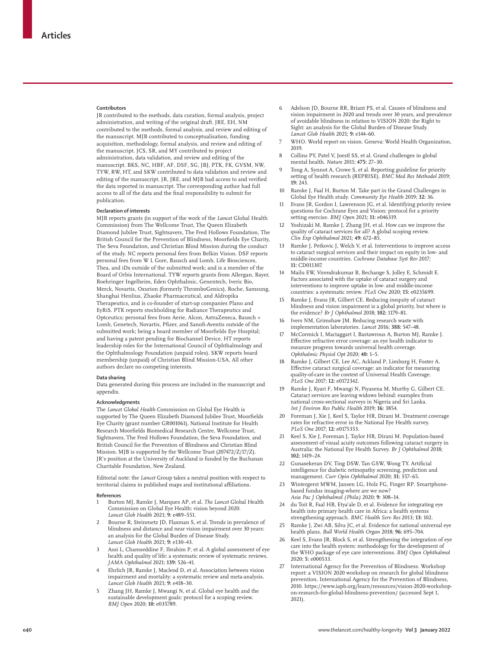#### **Contributors**

JR contributed to the methods, data curation, formal analysis, project administration, and writing of the original draft. JRE, EH, NM contributed to the methods, formal analysis, and review and editing of the manuscript. MJB contributed to conceptualisation, funding acquisition, methodology, formal analysis, and review and editing of the manuscript. JCS, SR, and MY contributed to project administration, data validation, and review and editing of the manuscript. BKS, NC, HBF, AF, DSF, SG, JBJ, PTK, FK, GVSM, NW, TYW, RW, HT, and SKW contributed to data validation and review and editing of the manuscript. JR, JRE, and MJB had access to and verified the data reported in manuscript. The corresponding author had full access to all of the data and the final responsibility to submit for publication.

#### **Declaration of interests**

MJB reports grants (in support of the work of the *Lancet* Global Health Commission) from The Wellcome Trust, The Queen Elizabeth Diamond Jubilee Trust, Sightsavers, The Fred Hollows Foundation, The British Council for the Prevention of Blindness, Moorfields Eye Charity, The Seva Foundation, and Christian Blind Mission during the conduct of the study. NC reports personal fees from Belkin Vision. DSF reports personal fees from W L Gore, Bausch and Lomb, Life Biosciences, Thea, and iDx outside of the submitted work; and is a member of the Board of Orbis International. TYW reports grants from Allergan, Bayer, Boehringer Ingelheim, Eden Ophthalmic, Genentech, Iveric Bio, Merck, Novartis, Oxurion (formerly ThromboGenics), Roche, Samsung, Shanghai Henlius, Zhaoke Pharmaceutical, and Aldropika Therapeutics, and is co-founder of start-up companies Plano and EyRiS. PTK reports stockholding for Radiance Therapeutics and Optceutics; personal fees from Aerie, Alcon, AstraZeneca, Bausch + Lomb, Genetech, Novartis, Pfizer, and Sanofi-Aventis outside of the submitted work; being a board member of Moorfields Eye Hospital; and having a patent pending for Biochannel Device. HT reports leadership roles for the International Council of Ophthalmology and the Ophthalmology Foundation (unpaid roles). SKW reports board membership (unpaid) of Christian Blind Mission-USA. All other authors declare no competing interests.

#### **Data sharing**

Data generated during this process are included in the manuscript and appendix.

#### **Acknowledgments**

The *Lancet Global Health* Commission on Global Eye Health is supported by The Queen Elizabeth Diamond Jubilee Trust, Moorfields Eye Charity (grant number GR001061), National Institute for Health Research Moorfields Biomedical Research Centre, Wellcome Trust, Sightsavers, The Fred Hollows Foundation, the Seva Foundation, and British Council for the Prevention of Blindness and Christian Blind Mission. MJB is supported by the Wellcome Trust (207472/Z/17/Z). JR's position at the University of Auckland is funded by the Buchanan Charitable Foundation, New Zealand.

Editorial note: the *Lancet* Group takes a neutral position with respect to territorial claims in published maps and institutional affiliations.

#### **References**

- 1 Burton MJ, Ramke J, Marques AP, et al. *The Lancet* Global Health Commission on Global Eye Health: vision beyond 2020. *Lancet Glob Health* 2021; **9:** e489–551.
- 2 Bourne R, Steinmetz JD, Flaxman S, et al. Trends in prevalence of blindness and distance and near vision impairment over 30 years: an analysis for the Global Burden of Disease Study. *Lancet Glob Health* 2021; **9:** e130–43.
- 3 Assi L, Chamseddine F, Ibrahim P, et al. A global assessment of eye health and quality of life: a systematic review of systematic reviews. *JAMA Ophthalmol* 2021; **139:** 526–41.
- Ehrlich JR, Ramke J, Macleod D, et al. Association between vision impairment and mortality: a systematic review and meta-analysis. *Lancet Glob Health* 2021; **9:** e418–30.
- 5 Zhang JH, Ramke J, Mwangi N, et al. Global eye health and the sustainable development goals: protocol for a scoping review. *BMJ Open* 2020; **10:** e035789.
- 6 Adelson JD, Bourne RR, Briant PS, et al. Causes of blindness and vision impairment in 2020 and trends over 30 years, and prevalence of avoidable blindness in relation to VISION 2020: the Right to Sight: an analysis for the Global Burden of Disease Study. *Lancet Glob Health* 2021; **9:** e144–60.
- 7 WHO. World report on vision. Geneva: World Health Organization, 2019.
- 8 Collins PY, Patel V, Joestl SS, et al. Grand challenges in global mental health. *Nature* 2011; **475:** 27–30.
- 9 Tong A, Synnot A, Crowe S, et al. Reporting guideline for priority setting of health research (REPRISE). *BMC Med Res Methodol* 2019; **19:** 243.
- Ramke J, Faal H, Burton M. Take part in the Grand Challenges in Global Eye Health study. *Community Eye Health* 2019; **32:** 36.
- 11 Evans JR, Gordon I, Lawrenson JG, et al. Identifying priority review questions for Cochrane Eyes and Vision: protocol for a priority setting exercise. *BMJ Open* 2021; **11:** e046319.
- 12 Yoshizaki M, Ramke J, Zhang JH, et al. How can we improve the quality of cataract services for all? A global scoping review. *Clin Exp Ophthalmol* 2021; **49:** 672–85.
- Ramke J, Petkovic J, Welch V, et al. Interventions to improve access to cataract surgical services and their impact on equity in low- and middle-income countries. *Cochrane Database Syst Rev* 2017; **11:** CD011307.
- 14 Mailu EW, Virendrakumar B, Bechange S, Jolley E, Schmidt E. Factors associated with the uptake of cataract surgery and interventions to improve uptake in low- and middle-income countries: a systematic review. *PLoS One* 2020; **15:** e0235699.
- 15 Ramke J, Evans JR, Gilbert CE. Reducing inequity of cataract blindness and vision impairment is a global priority, but where is the evidence? *Br J Ophthalmol* 2018; **102:** 1179–81.
- 16 Ivers NM, Grimshaw JM. Reducing research waste with implementation laboratories. *Lancet* 2016; **388:** 547–48.
- 17 McCormick I, Mactaggart I, Bastawrous A, Burton MJ, Ramke J. Effective refractive error coverage: an eye health indicator to measure progress towards universal health coverage. *Ophthalmic Physiol Opt* 2020; **40:** 1–5.
- 18 Ramke J, Gilbert CE, Lee AC, Ackland P, Limburg H, Foster A. Effective cataract surgical coverage: an indicator for measuring quality-of-care in the context of Universal Health Coverage. *PLoS One* 2017; **12:** e0172342.
- Ramke J, Kyari F, Mwangi N, Piyasena M, Murthy G, Gilbert CE. Cataract services are leaving widows behind: examples from national cross-sectional surveys in Nigeria and Sri Lanka. *Int J Environ Res Public Health* 2019; **16:** 3854.
- 20 Foreman J, Xie J, Keel S, Taylor HR, Dirani M. Treatment coverage rates for refractive error in the National Eye Health survey. *PLoS One* 2017; **12:** e0175353.
- Keel S, Xie J, Foreman J, Taylor HR, Dirani M. Population-based assessment of visual acuity outcomes following cataract surgery in Australia: the National Eye Health Survey. *Br J Ophthalmol* 2018; **102:** 1419–24.
- 22 Gunasekeran DV, Ting DSW, Tan GSW, Wong TY. Artificial intelligence for diabetic retinopathy screening, prediction and management. *Curr Opin Ophthalmol* 2020; **31:** 357–65.
- 23 Wintergerst MWM, Jansen LG, Holz FG, Finger RP. Smartphonebased fundus imaging-where are we now? *Asia Pac J Ophthalmol (Phila)* 2020; **9:** 308–14.
- du Toit R, Faal HB, Etya'ale D, et al. Evidence for integrating eye health into primary health care in Africa: a health systems strengthening approach. *BMC Health Serv Res* 2013; **13:** 102.
- Ramke J, Zwi AB, Silva JC, et al. Evidence for national universal eve health plans. *Bull World Health Organ* 2018; **96:** 695–704.
- Keel S, Evans JR, Block S, et al. Strengthening the integration of eye care into the health system: methodology for the development of the WHO package of eye care interventions. *BMJ Open Ophthalmol* 2020; **5:** e000533.
- 27 International Agency for the Prevention of Blindness. Workshop report: a VISION 2020 workshop on research for global blindness prevention. International Agency for the Prevention of Blindness, 2010. https://www.iapb.org/learn/resources/vision-2020-workshopon-research-for-global-blindness-prevention/ (accessed Sept 1, 2021).